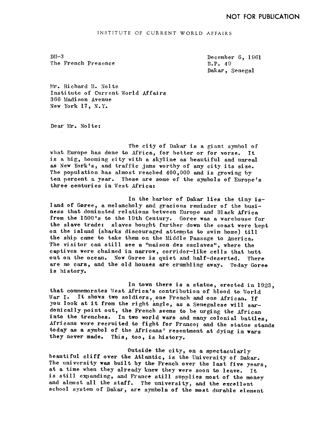INSTITUTE OF CURRENT WORLD AFFAIRS

 $DT-3$ The French Presence December 6. 1961 B.P. 49 Dakar, Senegal

Mr. Richard H. Nolte Institute of Current Vorld Affairs 366 Madison Avenue New York 17, N.Y.

Dear Mr. Nolte:

The city of Dakar is a giant symbol of what Europe has done to Africa, for better or for worse. It is a big, booming city with a skyline as beautiful and unreal as New York's, and traffic jams worthy of any city its size. The population has almost reached  $400,000$  and is growing by ten percent a year. These are some of the symbols of Europe's three centuries in West Africa:

In the harbor of Dakar lies the tiny island of Goree, a melancholy and gracious reminder of the business that dominated relations between Europe-and Black Africa from the 1500's to the 19th Century. Goree was a warehouse for the slave trade: slaves bought further down the coast were kept on the island (sharks discouraged attempts to swim home) till the ship came to take them on the Middle Passage to America. The visitor can still see a "maison des esclaves", where the captives were chained in narrow, corridor-like cells that butt out on the ocean. Now Goree is quiet and half-deserted. There out on the ocean. Now Goree is quiet and half-deserted. are no cars, and the old houses are crumbling away. Today Goree is history.

In town there is a statue, erected in 1923, that commemorates West Africa's contribution of blood to World War I. It shows two soldiers, one French and one African. If<br>you look at it from the right angle, as a Senegalese will ser you look at it from the right angle, as a Senegalese will sardonically point out, the French seems to be urging the African into the trenches. In two world wars and many colonial battles. Africans were recruited to fight for France; and the statue stands today as a symbol of the Africans' resentment at dying in wars they never made. This, too, is history.

Outside the city, on a spectacularly beautiful cliff over the Atlantic, is the University of Dakar. The university was built by the French over the last five years, at a time when they already knew they were soon to leave. It is still expanding, and France still supplies most of the money and almost all the staff. The university, and the excellent school system of Dakar, are symbols of the most durable element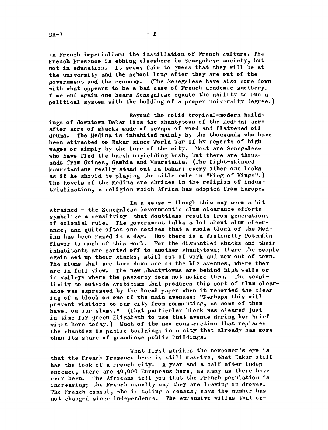$DH-3$  - 2

in French imperialism: the instillation of French culture. The French Presence is ebbing elsewhere in Senegalese society, but not in education. It seems fair to guess that they will be at

the university and the school long after they are out of the government and the economy. (The Senegalese have also come (The Senegal ese have also come down with what appears to be a bad case of French academic snobbery. Time and again one hears Senegalese equate the ability to run a political system with the holding of a proper university degree.)

Beyond the solid tropical-modern buildings of downtown Dakar lies the shantytown of the Medina: acre after acre of shacks made of scraps of wood and flattened oil drums. The ledina is inhabited mainly by the thousands who have been attracted to Dakar since World Var II by reports of high wages or simply by the lure of the city. Most are Senegalese who have fled the harsh unyielding bush, but there are thousands from Guinea, Gambia and Mauretania. (The light-skinned Mauretanians really stand out in Dakar: every other one looks as if he should be playing the title role in "King of Kings".) The hovels of the Medina are shrines in the religion of industrialization, a religion which Africa has adopted from Europe.

In a sense  $-$  though this may seem a bit strained - the Senegalese Government's slum clearance efforts symbolize a sensitvity that doubtless results from generations of colonial rule. The government talks a lot about slum clearance, and quite often one notices that a whole block of the Medina has been razed in a day. But there is a distinctly Potemkin flavor to much of this work. For the dismantled shacks and their inhabitants are carted off to another shantytown; there the people again set up their shacks, still out of work and now out of town. The slums that are torn down are on the big avenues, where they are in full view. The new shantytowns are behind high walls or in valleys where the passerby does not notice them. The sensitivity to outside criticism that produces this sort of slum clearance was expressed by the local paper when it reported the clearing of a block on one of the main avenues: "Perhaps this will prevent visitors to our city from commenting, as some of them have, on our slums." (That particular block was cleared just in time for Queen Elizabeth to use that avenue during her brief visit here today.) Much of the new construction that replaces the shanties is public buildings in a city that already has more than its share of grandiose public buildings.

What first strikes the newcomer's eye is that the French Presence here is still massive, that Dakar still has the look of a French city. A year and a half after independence, there are 40,000 Europeans here, as many as there have ever been. The Africans tell you that the French population is increasing; the French usually say they are leaving in droves. The French consul, who is taking a census, says the number has not changed since independence. The expensive villas that oc-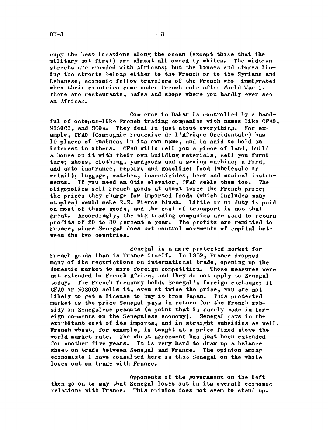cupy the best locations along the ocean (except those that the military got first) are almost all owned by whites. The midtown streets are crowded with Africans; but the houses and stores lining the streets belong either to the French or to the Syrians and Lebanese, economic fellow-travelers of the French who immigrated when their countries came under French rule after Vorld War I. There are restaurants, cafes and shops where you hardly ever see an African.

Commerce in Dakar is controlled by a handful of octopus-like French trading companies with names like CFA0, NOSOC0, and SCOAo They deal in just about everything. For example, CFA0 (Compagnie Francaise de l'Afrique Occidentale) has 19 places of business in its own name, and is said to hold an interest in others. CFA0 will: sell you a piece of land, build a house on it with their own building materials, sell you furniture; shoes, clothing, yardgoods and a sewing machine; a Ford, and auto insurance, repairs and gasoline; food (wholesale or retail); luggage, watches, insecticides, beer and musical instruments. If you need an Otis elevator, CFA0 sels them too. The oligopolies sell French goods at about twice the French price; the prices they charge for imported foods (which includes many staples) would make S.S. Pierce blush. Little or no duty is paid on most of these goods, and the cost of transport is not that great. Accordingly, the big trading companies are said to return profits of 20 to 30 percent a year. The profits are remitted to France, since Senegal does not control movements of capital between the two countries.

Senegal is a more protected market for French goods than is France itself. In 1959, France dropped many of its restrictions on international trade, opening up the domestic market to more foreign competition. Those measures were not extended to French Africa, and they do not apply to Senegal today. The French Treasury holds Senegal's foreign exchange; if CFA0 or NOSOC0 sells it, even at twice the price, you are not likely to get a license to buy it from Japan. This protected market is the price Senegal pays in return for the French subsidy on Senegalese peanuts (a point that is rarely made in foreign comments on the Senegalese economy). Senegal pays in the exorbitant cost of its imports, and in straight subsidies as well. French wheat, for example, is bought at a price fixed above the world market rate. The wheat agreement has just been extended for another five years. It is very hard to draw up a balance sheet on trade between Senegal and France. The opinion among economists <sup>I</sup> have consulted here is that Senegal on the whole loses out on trade with France.

Opponents of the government on the left then go on to say that Senegal loses out in its overall economic relations with France. This opinion does not seem to stand up.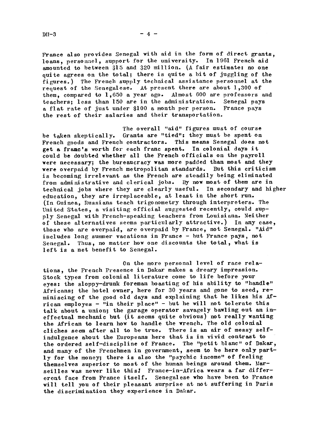France also provides Senegal with aid in the form of direct grants, loans, personael, support for the university. In 1961 French aid. amounted to between \$15 and \$20 million. (A fair estimate: no one quite agrees on the total; there is quite a bit of juggling of the figures.) The French supply technical assistance personnel at the request of the Senegalese. At present there are about 1,300 of them, compared to 1,650 a year ago. Almost 600 are professors and teachers; less than 150 are in the administration. Senegal pays a flat rate of just under \$100 a month per person. France pays the rest of their salaries and their transportation.

The overall "aid" figures must of course be taken skeptically. Grants are "tied": they must be spent on French goods and French contractors. This means Senegal does not get a franc's worth for each franc spent. In colonial days it could be doubted whether all the French officials on the payroll were necessary; the bureaucracy was more padded than most and they were overpaid by French metropolitan standards. But this criticism is becoming irrelevant as the French are steadily being eliminated from administrative and clerical jobs. By now most of them are in technical jobs where they are clearly useful. In secondary and higher education, they are irreplaceable, at least in the short run. (In Guinea, Russians teach trigonometry through interpreters. The United States, a visiting official suggested recently, could supply Senegal with French-speaking teachers from Louisiana. Neither of these alternatives seems particularly attractive.) In any case, those who are overpaid, are overpaid by France, not Senegal. "Aid" includes long summer vacations in France - but France pays, not Senegal. Thus, no matter how one discounts the total, what is left is a net benefit to Senegal.

On the more personal level of race relations, the French Presence in Dakar makes a dreary impression. Stock types from colonial literature come to life before your eyes: the sloppy-drunk foreman boasting of his ability to "handle" Africans; the hotel owner, here for 30 years and gone to seed, reminiscing of the good old days and explaining that he likes his African employes - "in their place" - but he will not tolerate this talk about a union; the garage operator savagely bawling out an ineffectual mechanic but (it seems quite obvious) not really wanting the African to learn how to handle the wrench. The old colonial cliches seem after all to be true. There is an air of messy selfindulgence about the Europeans here that is in vivid contrast to the ordered self-discipline of France. The "petit blanc" of Dakar, and many of the Frenchmen in government, seem to be here only partly for the money; there is also the "psychic income" of feeling themselves superior to most of the human beings around them. Marseilles was never like this! France-in-Africa wears a far differerent face from France itself. Senegal ese who have been to France will tell you of their pleasant surprise at not suffering in Paris the discrimination they experience in Dakar.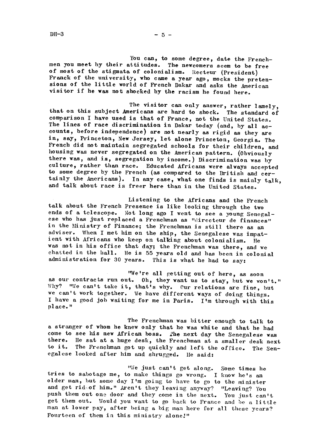You can, to some degree, date the Frenchmen you meet by their attitudes. The newcomers seem to be free of most of the stigmata of colonialism. Recteur (President) Franck of the university, who came a year ago, mocks the pretensions of the little world of French Dakar and asks the American visitor if he was not shocked by the racism he found here.

The visitor can only answer, rather lamely, that on this subject Americans are hard to shock. The standard of comparison I have used is that of France, not the United States. The lines of race discrimination in Dakar today (and, by all accounts before independence) are not nearly as rigid as they are in, say, Princeton, New Jersey, let alone Princeton, Georgia. The French did not maintain segregated schools for their children, and housing was never segregated on the American pattern. (0bviously there was, and is, segregation by income.) Discrimination was by culture, rather than race. Educated Africans were always accepted to some degree by the French (as compared to the British and cer-<br>tainly the Americans). In any case, what one finds is mainly talk. and talk about race is freer here than in the United States.

Listening to the kfricans and the French talk about the French Presence is like looking through the two ends of a telescope. Not long ago I went to see a young Senegalese who has just replaced a Frenchman as "directeur de finances" in the Ministry of Finance; the Frenchman is still there as an adviser. When I met him on the ship, the Senegalese was impatient with Africans who keep on talking about colonialism, tie was not in his office that day; the Frenchman was there, and we chatted in the hall. He is 55 years old and has been in colonial administration for 30 years. This is what he had to say:

"We're all getting out of here, as soon as our contracts run out. Oh, they want us to stay, but we won't." Why? "We can't take it, that's why. Our relations are fine, but we can't work together. We have different ways of doing things. I have a good job waiting for me in Paris. I'm through with this pl ace. "

The Frenchman was bitter enough to talk to a stranger of whom he knew only that he was white and that he had. come to see his new African boss. The next day the Senegal ese was there. He sat at a huge desk, the Frenchman at a smaller desk next to it. The Frenchman got up quickly and left the office. The Senegalese looked after him and shrugged. He said:

"We just can't get along. Some times he tries to sabotage me, to make things go wrong. I know he's an older man, but some day I'm going to have to go to the minister and get rid.of him." Aren't they leaving anyway? "Leaving? You push them out one door and they come in the next. You just can't get them out. Would you want to go back to France and be a little man at lower pay, after being a big man here for all these years? Fourteen of them in this ministry alone!"